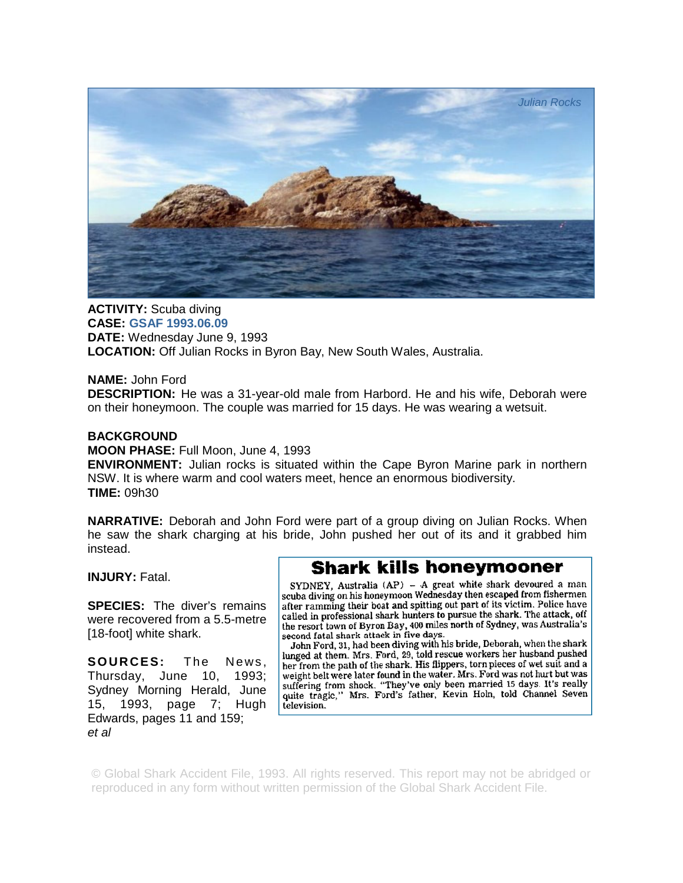

**ACTIVITY:** Scuba diving **CASE: GSAF 1993.06.09 DATE:** Wednesday June 9, 1993 **LOCATION:** Off Julian Rocks in Byron Bay, New South Wales, Australia.

## **NAME:** John Ford

**DESCRIPTION:** He was a 31-year-old male from Harbord. He and his wife, Deborah were on their honeymoon. The couple was married for 15 days. He was wearing a wetsuit.

## **BACKGROUND**

## **MOON PHASE:** Full Moon, June 4, 1993

**ENVIRONMENT:** Julian rocks is situated within the Cape Byron Marine park in northern NSW. It is where warm and cool waters meet, hence an enormous biodiversity. **TIME:** 09h30

**NARRATIVE:** Deborah and John Ford were part of a group diving on Julian Rocks. When he saw the shark charging at his bride, John pushed her out of its and it grabbed him instead.

**INJURY:** Fatal.

**SPECIES:** The diver's remains were recovered from a 5.5-metre [18-foot] white shark.

**SOURCES:** The News, Thursday, June 10, 1993; Sydney Morning Herald, June 15, 1993, page 7; Hugh Edwards, pages 11 and 159; *et al* 

## **Shark kills honeymooner**

SYDNEY, Australia (AP) - A great white shark devoured a man scuba diving on his honeymoon Wednesday then escaped from fishermen after ramming their boat and spitting out part of its victim. Police have called in professional shark hunters to pursue the shark. The attack, off the resort town of Byron Bay, 400 miles north of Sydney, was Australia's second fatal shark attack in five days.

John Ford, 31, had been diving with his bride, Deborah, when the shark lunged at them. Mrs. Ford, 29, told rescue workers her husband pushed her from the path of the shark. His flippers, torn pieces of wet suit and a weight belt were later found in the water. Mrs. Ford was not hurt but was suffering from shock. "They've only been married 15 days. It's really quite tragic," Mrs. Ford's father, Kevin Holn, told Channel Seven television.

© Global Shark Accident File, 1993. All rights reserved. This report may not be abridged or reproduced in any form without written permission of the Global Shark Accident File.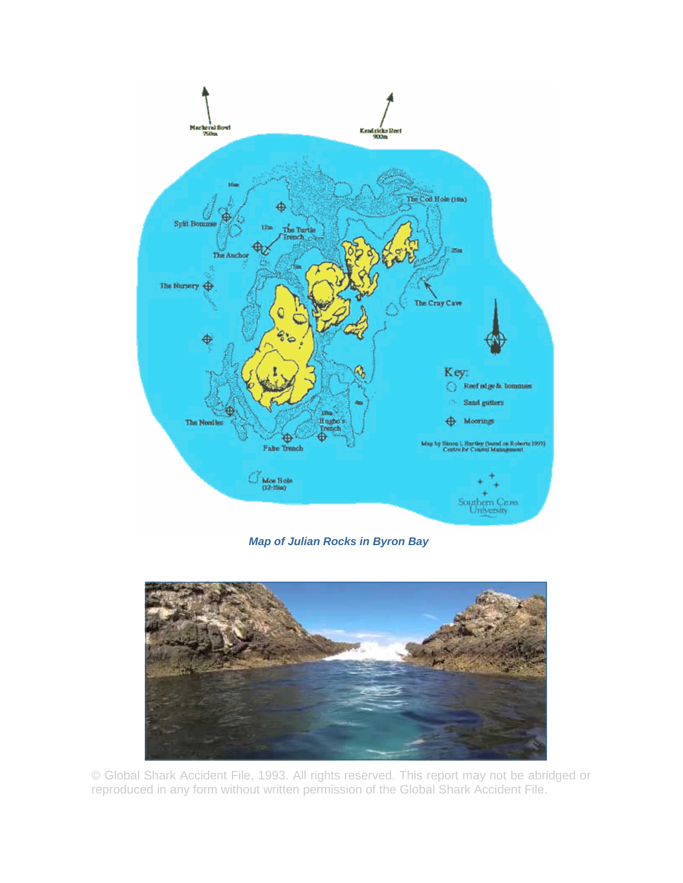

*Map of Julian Rocks in Byron Bay* 



© Global Shark Accident File, 1993. All rights reserved. This report may not be abridged or reproduced in any form without written permission of the Global Shark Accident File.